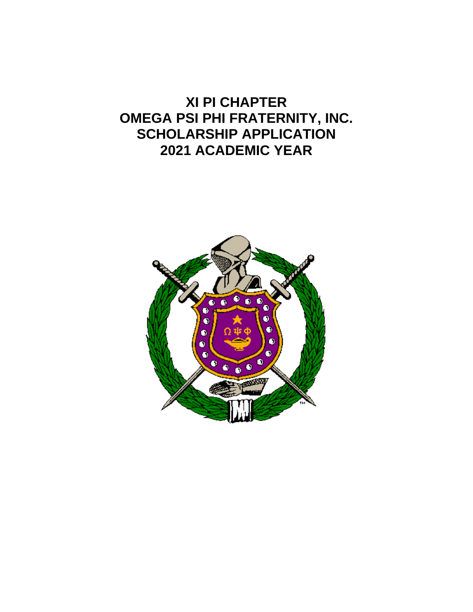## **XI PI CHAPTER OMEGA PSI PHI FRATERNITY, INC. SCHOLARSHIP APPLICATION 2021 ACADEMIC YEAR**

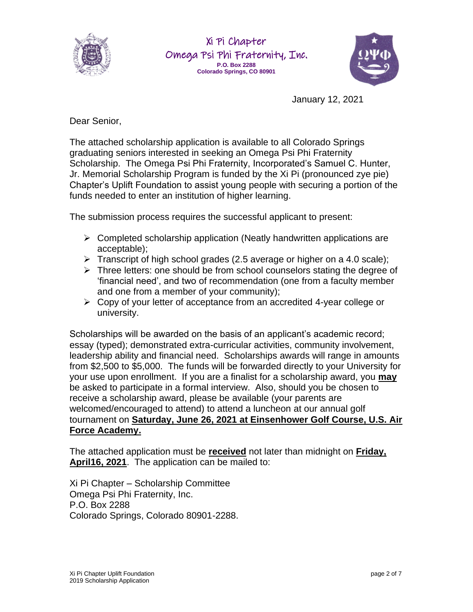

Xi Pi Chapter Omega Psi Phi Fraternity, Inc. **P.O. Box 2288 Colorado Springs, CO 80901**



January 12, 2021

Dear Senior,

The attached scholarship application is available to all Colorado Springs graduating seniors interested in seeking an Omega Psi Phi Fraternity Scholarship. The Omega Psi Phi Fraternity, Incorporated's Samuel C. Hunter, Jr. Memorial Scholarship Program is funded by the Xi Pi (pronounced zye pie) Chapter's Uplift Foundation to assist young people with securing a portion of the funds needed to enter an institution of higher learning.

The submission process requires the successful applicant to present:

- $\triangleright$  Completed scholarship application (Neatly handwritten applications are acceptable);
- ➢ Transcript of high school grades (2.5 average or higher on a 4.0 scale);
- ➢ Three letters: one should be from school counselors stating the degree of 'financial need', and two of recommendation (one from a faculty member and one from a member of your community);
- ➢ Copy of your letter of acceptance from an accredited 4-year college or university.

Scholarships will be awarded on the basis of an applicant's academic record; essay (typed); demonstrated extra-curricular activities, community involvement, leadership ability and financial need. Scholarships awards will range in amounts from \$2,500 to \$5,000. The funds will be forwarded directly to your University for your use upon enrollment. If you are a finalist for a scholarship award, you **may** be asked to participate in a formal interview. Also, should you be chosen to receive a scholarship award, please be available (your parents are welcomed/encouraged to attend) to attend a luncheon at our annual golf tournament on **Saturday, June 26, 2021 at Einsenhower Golf Course, U.S. Air Force Academy.** 

The attached application must be **received** not later than midnight on **Friday, April16, 2021**. The application can be mailed to:

Xi Pi Chapter – Scholarship Committee Omega Psi Phi Fraternity, Inc. P.O. Box 2288 Colorado Springs, Colorado 80901-2288.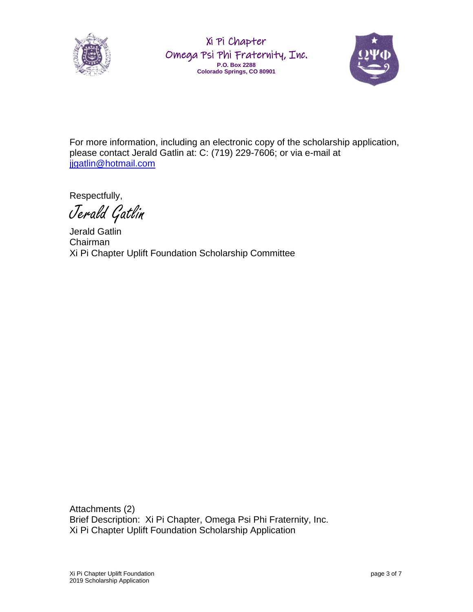

Xi Pi Chapter Omega Psi Phi Fraternity, Inc. **P.O. Box 2288 Colorado Springs, CO 80901**



For more information, including an electronic copy of the scholarship application, please contact Jerald Gatlin at: C: (719) 229-7606; or via e-mail at jjgatlin@hotmail.com

Respectfully,

Jerald Gatlin

Jerald Gatlin Chairman Xi Pi Chapter Uplift Foundation Scholarship Committee

Attachments (2) Brief Description: Xi Pi Chapter, Omega Psi Phi Fraternity, Inc. Xi Pi Chapter Uplift Foundation Scholarship Application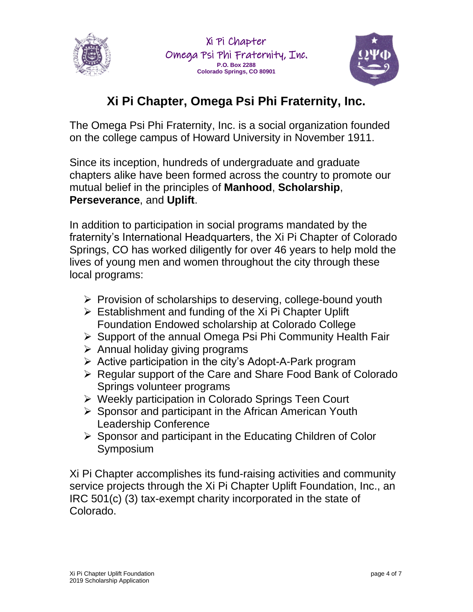



## **Xi Pi Chapter, Omega Psi Phi Fraternity, Inc.**

The Omega Psi Phi Fraternity, Inc. is a social organization founded on the college campus of Howard University in November 1911.

Since its inception, hundreds of undergraduate and graduate chapters alike have been formed across the country to promote our mutual belief in the principles of **Manhood**, **Scholarship**, **Perseverance**, and **Uplift**.

In addition to participation in social programs mandated by the fraternity's International Headquarters, the Xi Pi Chapter of Colorado Springs, CO has worked diligently for over 46 years to help mold the lives of young men and women throughout the city through these local programs:

- ➢ Provision of scholarships to deserving, college-bound youth
- $\triangleright$  Establishment and funding of the Xi Pi Chapter Uplift Foundation Endowed scholarship at Colorado College
- ➢ Support of the annual Omega Psi Phi Community Health Fair
- $\triangleright$  Annual holiday giving programs
- ➢ Active participation in the city's Adopt-A-Park program
- ➢ Regular support of the Care and Share Food Bank of Colorado Springs volunteer programs
- ➢ Weekly participation in Colorado Springs Teen Court
- ➢ Sponsor and participant in the African American Youth Leadership Conference
- ➢ Sponsor and participant in the Educating Children of Color Symposium

Xi Pi Chapter accomplishes its fund-raising activities and community service projects through the Xi Pi Chapter Uplift Foundation, Inc., an IRC 501(c) (3) tax-exempt charity incorporated in the state of Colorado.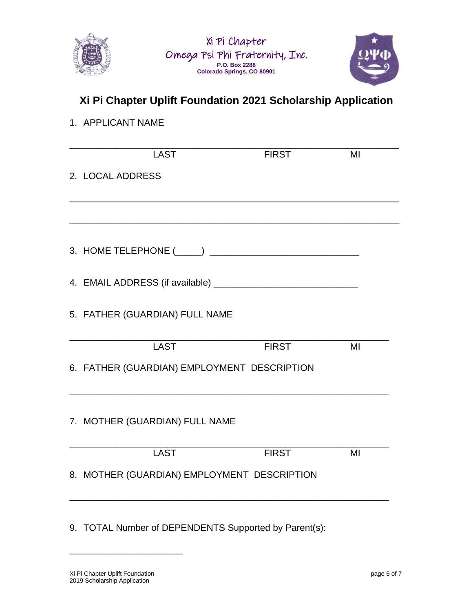



## **Xi Pi Chapter Uplift Foundation 2021 Scholarship Application**

## 1. APPLICANT NAME

| <b>LAST</b>                                 | <b>FIRST</b> | MI |
|---------------------------------------------|--------------|----|
| 2. LOCAL ADDRESS                            |              |    |
|                                             |              |    |
|                                             |              |    |
|                                             |              |    |
|                                             |              |    |
| 5. FATHER (GUARDIAN) FULL NAME              |              |    |
| <b>LAST</b>                                 | <b>FIRST</b> | MI |
| 6. FATHER (GUARDIAN) EMPLOYMENT DESCRIPTION |              |    |
| 7. MOTHER (GUARDIAN) FULL NAME              |              |    |
|                                             |              |    |
| <b>LAST</b>                                 | <b>FIRST</b> | MI |
| 8. MOTHER (GUARDIAN) EMPLOYMENT DESCRIPTION |              |    |

9. TOTAL Number of DEPENDENTS Supported by Parent(s):

\_\_\_\_\_\_\_\_\_\_\_\_\_\_\_\_\_\_\_\_\_\_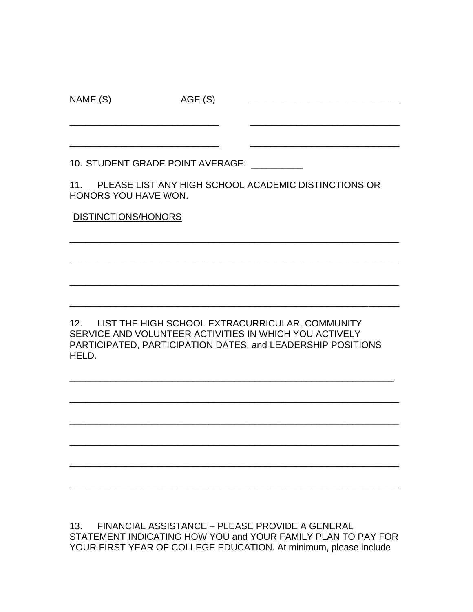| 10. STUDENT GRADE POINT AVERAGE:                                                        |
|-----------------------------------------------------------------------------------------|
| 11. PLEASE LIST ANY HIGH SCHOOL ACADEMIC DISTINCTIONS OR<br><b>HONORS YOU HAVE WON.</b> |
| <b>DISTINCTIONS/HONORS</b>                                                              |
|                                                                                         |
|                                                                                         |

\_\_\_\_\_\_\_\_\_\_\_\_\_\_\_\_\_\_\_\_\_\_\_\_\_\_\_\_\_

NAME (S) AGE (S)

12. LIST THE HIGH SCHOOL EXTRACURRICULAR, COMMUNITY SERVICE AND VOLUNTEER ACTIVITIES IN WHICH YOU ACTIVELY PARTICIPATED, PARTICIPATION DATES, and LEADERSHIP POSITIONS HELD.

\_\_\_\_\_\_\_\_\_\_\_\_\_\_\_\_\_\_\_\_\_\_\_\_\_\_\_\_\_\_\_\_\_\_\_\_\_\_\_\_\_\_\_\_\_\_\_\_\_\_\_\_\_\_\_\_\_\_\_\_\_\_\_

\_\_\_\_\_\_\_\_\_\_\_\_\_\_\_\_\_\_\_\_\_\_\_\_\_\_\_\_\_\_\_\_\_\_\_\_\_\_\_\_\_\_\_\_\_\_\_\_\_\_\_\_\_\_\_\_\_\_\_\_\_\_\_\_

\_\_\_\_\_\_\_\_\_\_\_\_\_\_\_\_\_\_\_\_\_\_\_\_\_\_\_\_\_\_\_\_\_\_\_\_\_\_\_\_\_\_\_\_\_\_\_\_\_\_\_\_\_\_\_\_\_\_\_\_\_\_\_\_

\_\_\_\_\_\_\_\_\_\_\_\_\_\_\_\_\_\_\_\_\_\_\_\_\_\_\_\_\_\_\_\_\_\_\_\_\_\_\_\_\_\_\_\_\_\_\_\_\_\_\_\_\_\_\_\_\_\_\_\_\_\_\_\_

\_\_\_\_\_\_\_\_\_\_\_\_\_\_\_\_\_\_\_\_\_\_\_\_\_\_\_\_\_\_\_\_\_\_\_\_\_\_\_\_\_\_\_\_\_\_\_\_\_\_\_\_\_\_\_\_\_\_\_\_\_\_\_\_

\_\_\_\_\_\_\_\_\_\_\_\_\_\_\_\_\_\_\_\_\_\_\_\_\_\_\_\_\_\_\_\_\_\_\_\_\_\_\_\_\_\_\_\_\_\_\_\_\_\_\_\_\_\_\_\_\_\_\_\_\_\_\_\_

\_\_\_\_\_\_\_\_\_\_\_\_\_\_\_\_\_\_\_\_\_\_\_\_\_\_\_\_\_\_\_\_\_\_\_\_\_\_\_\_\_\_\_\_\_\_\_\_\_\_\_\_\_\_\_\_\_\_\_\_\_\_\_\_

13. FINANCIAL ASSISTANCE – PLEASE PROVIDE A GENERAL STATEMENT INDICATING HOW YOU and YOUR FAMILY PLAN TO PAY FOR YOUR FIRST YEAR OF COLLEGE EDUCATION. At minimum, please include